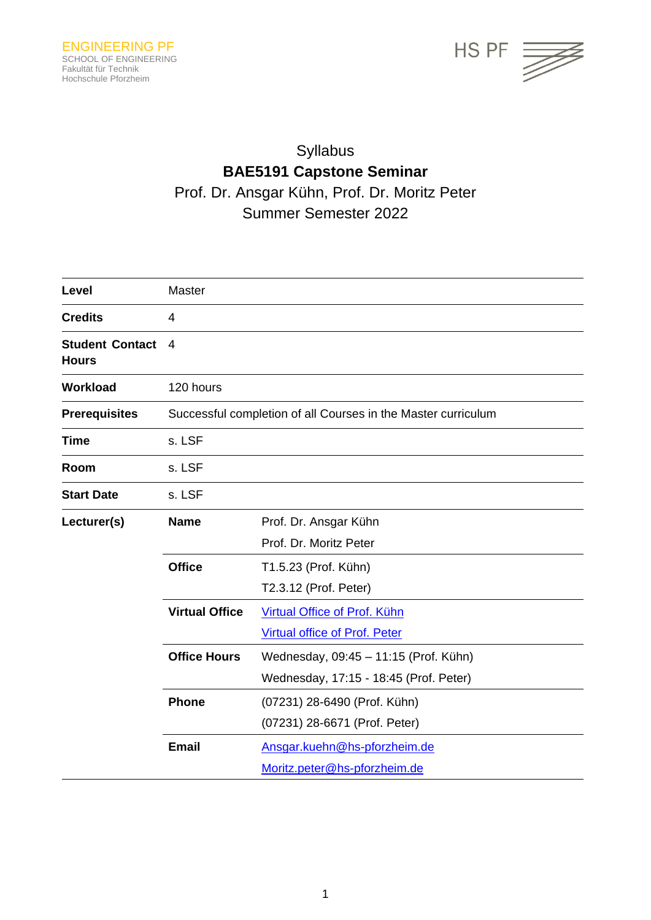

# Syllabus **BAE5191 Capstone Seminar** Prof. Dr. Ansgar Kühn, Prof. Dr. Moritz Peter Summer Semester 2022

| Level                                  | Master                                                        |                                        |  |
|----------------------------------------|---------------------------------------------------------------|----------------------------------------|--|
| <b>Credits</b>                         | 4                                                             |                                        |  |
| <b>Student Contact</b><br><b>Hours</b> | 4                                                             |                                        |  |
| <b>Workload</b>                        | 120 hours                                                     |                                        |  |
| <b>Prerequisites</b>                   | Successful completion of all Courses in the Master curriculum |                                        |  |
| <b>Time</b>                            | s. LSF                                                        |                                        |  |
| Room                                   | s. LSF                                                        |                                        |  |
| <b>Start Date</b>                      | s. LSF                                                        |                                        |  |
| Lecturer(s)                            | <b>Name</b>                                                   | Prof. Dr. Ansgar Kühn                  |  |
|                                        |                                                               | Prof. Dr. Moritz Peter                 |  |
|                                        | <b>Office</b>                                                 | T1.5.23 (Prof. Kühn)                   |  |
|                                        |                                                               | T2.3.12 (Prof. Peter)                  |  |
|                                        | <b>Virtual Office</b>                                         | Virtual Office of Prof. Kühn           |  |
|                                        |                                                               | <b>Virtual office of Prof. Peter</b>   |  |
|                                        | <b>Office Hours</b>                                           | Wednesday, 09:45 - 11:15 (Prof. Kühn)  |  |
|                                        |                                                               | Wednesday, 17:15 - 18:45 (Prof. Peter) |  |
|                                        | <b>Phone</b>                                                  | (07231) 28-6490 (Prof. Kühn)           |  |
|                                        |                                                               | (07231) 28-6671 (Prof. Peter)          |  |
|                                        | <b>Email</b>                                                  | Ansgar.kuehn@hs-pforzheim.de           |  |
|                                        |                                                               | Moritz.peter@hs-pforzheim.de           |  |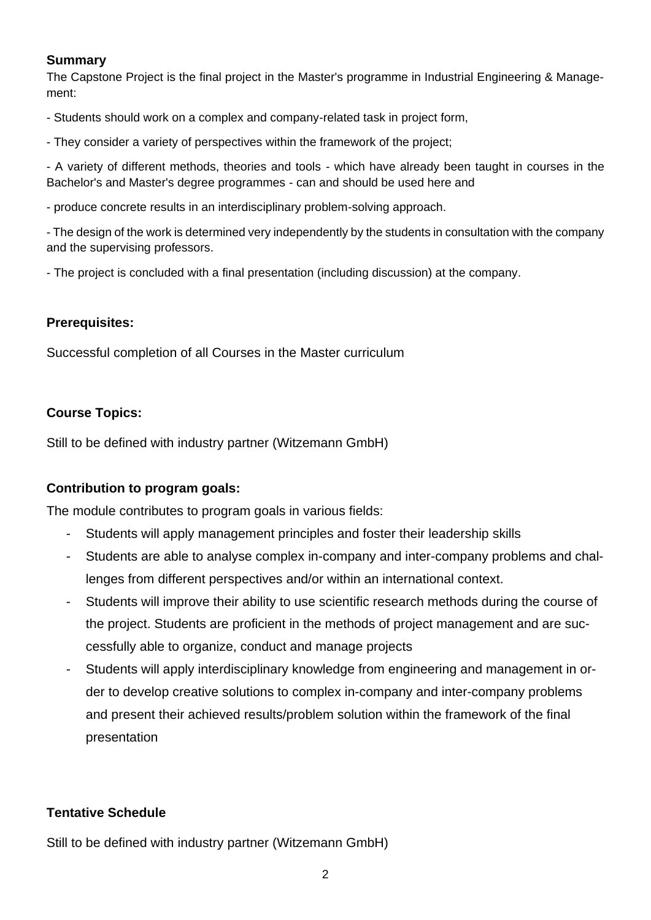# **Summary**

The Capstone Project is the final project in the Master's programme in Industrial Engineering & Management:

- Students should work on a complex and company-related task in project form,

- They consider a variety of perspectives within the framework of the project;

- A variety of different methods, theories and tools - which have already been taught in courses in the Bachelor's and Master's degree programmes - can and should be used here and

- produce concrete results in an interdisciplinary problem-solving approach.

- The design of the work is determined very independently by the students in consultation with the company and the supervising professors.

- The project is concluded with a final presentation (including discussion) at the company.

# **Prerequisites:**

Successful completion of all Courses in the Master curriculum

# **Course Topics:**

Still to be defined with industry partner (Witzemann GmbH)

# **Contribution to program goals:**

The module contributes to program goals in various fields:

- Students will apply management principles and foster their leadership skills
- Students are able to analyse complex in-company and inter-company problems and challenges from different perspectives and/or within an international context.
- Students will improve their ability to use scientific research methods during the course of the project. Students are proficient in the methods of project management and are successfully able to organize, conduct and manage projects
- Students will apply interdisciplinary knowledge from engineering and management in order to develop creative solutions to complex in-company and inter-company problems and present their achieved results/problem solution within the framework of the final presentation

# **Tentative Schedule**

Still to be defined with industry partner (Witzemann GmbH)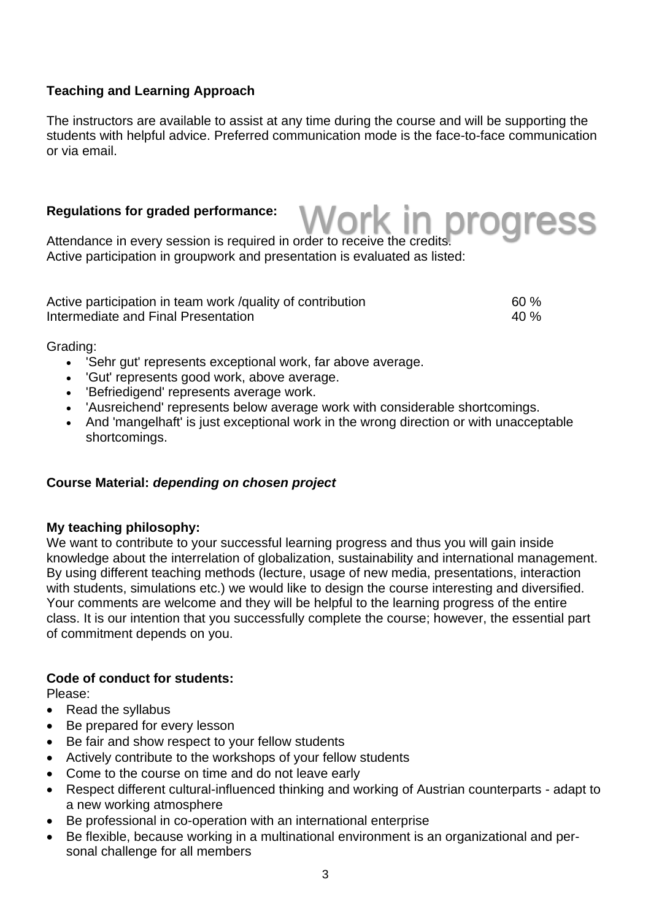# **Teaching and Learning Approach**

The instructors are available to assist at any time during the course and will be supporting the students with helpful advice. Preferred communication mode is the face-to-face communication or via email.

# **Regulations for graded performance:**

Work in progress

Attendance in every session is required in order to receive the credits. Active participation in groupwork and presentation is evaluated as listed:

| Active participation in team work /quality of contribution | 60%  |
|------------------------------------------------------------|------|
| Intermediate and Final Presentation                        | 40 % |

Grading:

- 'Sehr gut' represents exceptional work, far above average.
- 'Gut' represents good work, above average.
- 'Befriedigend' represents average work.
- 'Ausreichend' represents below average work with considerable shortcomings.
- And 'mangelhaft' is just exceptional work in the wrong direction or with unacceptable shortcomings.

#### **Course Material:** *depending on chosen project*

#### **My teaching philosophy:**

We want to contribute to your successful learning progress and thus you will gain inside knowledge about the interrelation of globalization, sustainability and international management. By using different teaching methods (lecture, usage of new media, presentations, interaction with students, simulations etc.) we would like to design the course interesting and diversified. Your comments are welcome and they will be helpful to the learning progress of the entire class. It is our intention that you successfully complete the course; however, the essential part of commitment depends on you.

#### **Code of conduct for students:**

Please:

- Read the syllabus
- Be prepared for every lesson
- Be fair and show respect to your fellow students
- Actively contribute to the workshops of your fellow students
- Come to the course on time and do not leave early
- Respect different cultural-influenced thinking and working of Austrian counterparts adapt to a new working atmosphere
- Be professional in co-operation with an international enterprise
- Be flexible, because working in a multinational environment is an organizational and personal challenge for all members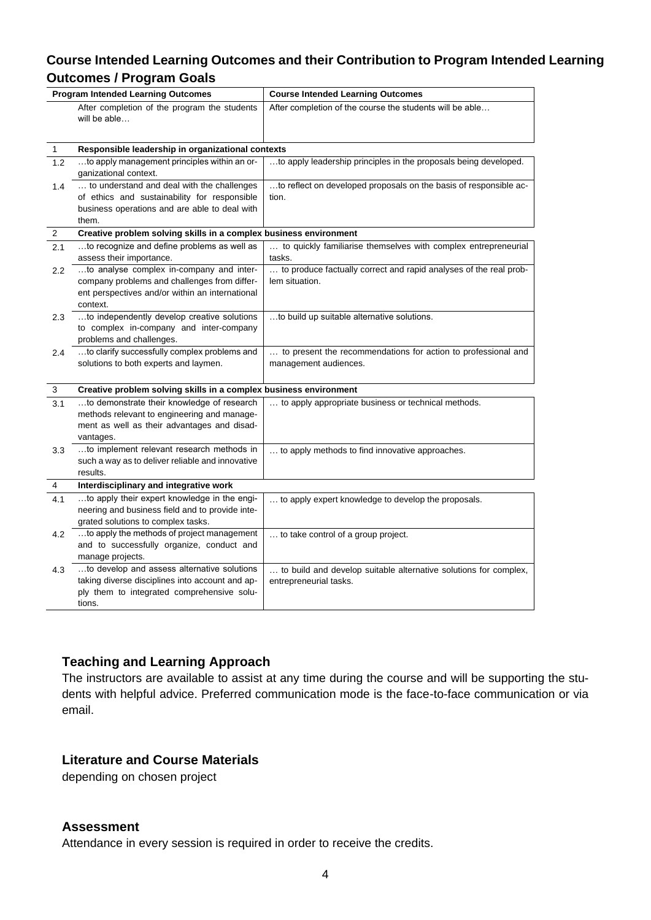# **Course Intended Learning Outcomes and their Contribution to Program Intended Learning Outcomes / Program Goals**

| <b>Program Intended Learning Outcomes</b> |                                                                                                                 | <b>Course Intended Learning Outcomes</b>                          |
|-------------------------------------------|-----------------------------------------------------------------------------------------------------------------|-------------------------------------------------------------------|
|                                           | After completion of the program the students<br>will be able                                                    | After completion of the course the students will be able          |
| 1                                         | Responsible leadership in organizational contexts                                                               |                                                                   |
| 1.2                                       | to apply management principles within an or-<br>ganizational context.                                           | to apply leadership principles in the proposals being developed.  |
| 1.4                                       | to understand and deal with the challenges                                                                      | to reflect on developed proposals on the basis of responsible ac- |
|                                           | of ethics and sustainability for responsible<br>business operations and are able to deal with                   | tion.                                                             |
|                                           | them.                                                                                                           |                                                                   |
| 2                                         | Creative problem solving skills in a complex business environment                                               |                                                                   |
| 2.1                                       | to recognize and define problems as well as                                                                     | to quickly familiarise themselves with complex entrepreneurial    |
|                                           | assess their importance.                                                                                        | tasks.                                                            |
| $2.2\,$                                   | to analyse complex in-company and inter-                                                                        | to produce factually correct and rapid analyses of the real prob- |
|                                           | company problems and challenges from differ-                                                                    | lem situation.                                                    |
|                                           | ent perspectives and/or within an international<br>context.                                                     |                                                                   |
| 2.3                                       | to independently develop creative solutions                                                                     | to build up suitable alternative solutions.                       |
|                                           | to complex in-company and inter-company                                                                         |                                                                   |
|                                           | problems and challenges.                                                                                        |                                                                   |
| 2.4                                       | to clarify successfully complex problems and                                                                    | to present the recommendations for action to professional and     |
|                                           | solutions to both experts and laymen.                                                                           | management audiences.                                             |
|                                           |                                                                                                                 |                                                                   |
| 3                                         | Creative problem solving skills in a complex business environment<br>to demonstrate their knowledge of research | to apply appropriate business or technical methods.               |
| 3.1                                       | methods relevant to engineering and manage-                                                                     |                                                                   |
|                                           | ment as well as their advantages and disad-                                                                     |                                                                   |
|                                           | vantages.                                                                                                       |                                                                   |
| 3.3                                       | to implement relevant research methods in                                                                       | to apply methods to find innovative approaches.                   |
|                                           | such a way as to deliver reliable and innovative                                                                |                                                                   |
|                                           | results.                                                                                                        |                                                                   |
| 4                                         | Interdisciplinary and integrative work                                                                          |                                                                   |
| 4.1                                       | to apply their expert knowledge in the engi-<br>neering and business field and to provide inte-                 | to apply expert knowledge to develop the proposals.               |
|                                           | grated solutions to complex tasks.                                                                              |                                                                   |
| 4.2                                       | to apply the methods of project management                                                                      | to take control of a group project.                               |
|                                           | and to successfully organize, conduct and                                                                       |                                                                   |
|                                           | manage projects.                                                                                                |                                                                   |
| 4.3                                       | to develop and assess alternative solutions                                                                     | to build and develop suitable alternative solutions for complex,  |
|                                           | taking diverse disciplines into account and ap-                                                                 | entrepreneurial tasks.                                            |
|                                           | ply them to integrated comprehensive solu-                                                                      |                                                                   |
|                                           | tions.                                                                                                          |                                                                   |

# **Teaching and Learning Approach**

The instructors are available to assist at any time during the course and will be supporting the students with helpful advice. Preferred communication mode is the face-to-face communication or via email.

#### **Literature and Course Materials**

depending on chosen project

#### **Assessment**

Attendance in every session is required in order to receive the credits.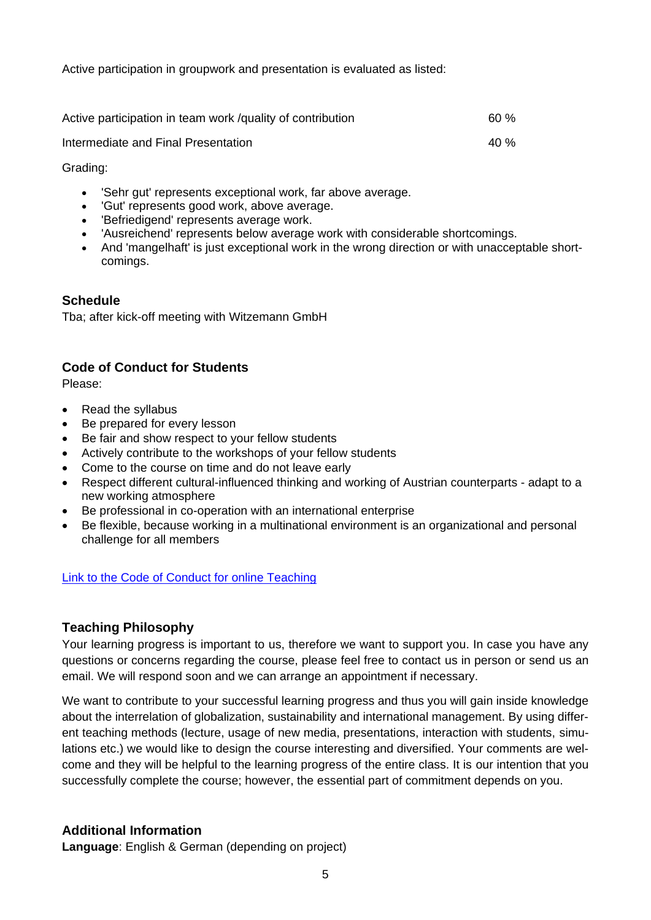Active participation in groupwork and presentation is evaluated as listed:

| Active participation in team work /quality of contribution | 60 % |
|------------------------------------------------------------|------|
| Intermediate and Final Presentation                        | 40 % |

Grading:

- 'Sehr gut' represents exceptional work, far above average.
- 'Gut' represents good work, above average.
- 'Befriedigend' represents average work.
- 'Ausreichend' represents below average work with considerable shortcomings.
- And 'mangelhaft' is just exceptional work in the wrong direction or with unacceptable shortcomings.

# **Schedule**

Tba; after kick-off meeting with Witzemann GmbH

# **Code of Conduct for Students**

Please:

- Read the syllabus
- Be prepared for every lesson
- Be fair and show respect to your fellow students
- Actively contribute to the workshops of your fellow students
- Come to the course on time and do not leave early
- Respect different cultural-influenced thinking and working of Austrian counterparts adapt to a new working atmosphere
- Be professional in co-operation with an international enterprise
- Be flexible, because working in a multinational environment is an organizational and personal challenge for all members

[Link to the Code of Conduct for online Teaching](https://e-campus.hs-pforzheim.de/business_pf/digital_learning_tools_links)

#### **Teaching Philosophy**

Your learning progress is important to us, therefore we want to support you. In case you have any questions or concerns regarding the course, please feel free to contact us in person or send us an email. We will respond soon and we can arrange an appointment if necessary.

We want to contribute to your successful learning progress and thus you will gain inside knowledge about the interrelation of globalization, sustainability and international management. By using different teaching methods (lecture, usage of new media, presentations, interaction with students, simulations etc.) we would like to design the course interesting and diversified. Your comments are welcome and they will be helpful to the learning progress of the entire class. It is our intention that you successfully complete the course; however, the essential part of commitment depends on you.

#### **Additional Information**

**Language**: English & German (depending on project)